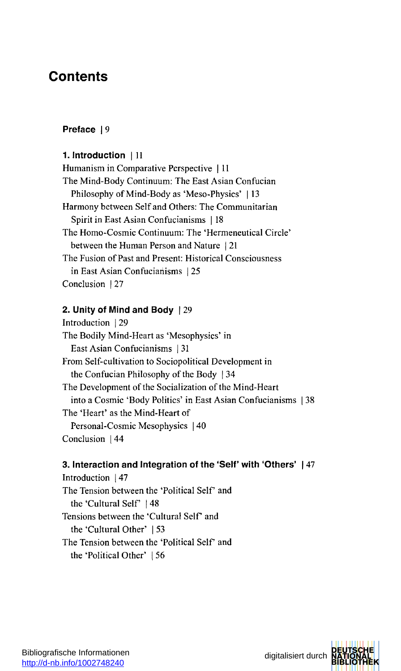# Content s

# **Prefac e | 9**

### **1 . Introductio n | 1 1**

Humanis m i n Comparativ e Perspectiv e | 1 1 Th e Mind-Bod y Continuum : Th e Eas t Asia n Confucia n Philosoph y o f Mind-Bod y a s 'Meso-Physics' | 1 3 Harmon y betwee n Sel f an d Others : Th e Communitaria n Spiri t i n Eas t Asia n Confucianism s | 1 8 Th e Homo-Cosmi c Continuum : Th e 'Hermeneutica l Circle' between the Human Person and Nature | 21 Th e Fusio n o f Pas t an d Present : Historica l Consciousnes s i n Eas t Asia n Confucianism s | 2 5 Conclusion | 27

## **2. Unity of Mind and Body** | 29

Introductio n | 2 9 Th e Bodil y Mind-Hear t a s 'Mesophysics' i n Eas t Asia n Confucianism s | 3 1 From Self-cultivation to Sociopolitical Development in the Confucian Philosophy of the Body | 34 Th e Developmen t o f th e Socializatio n o f th e Mind-Hear t into a Cosmic 'Body Politics' in East Asian Confucianisms | 38 Th e 'Heart' a s th e Mind-Hear t o f Personal-Cosmic Mesophysics | 40 Conclusion | 44

## **3. Interaction and Integration of the 'Self' with 'Others' | 47**

Introduction | 47 The Tension between the 'Political Self' and the 'Cultural Self' | 48 Tension s betwee n th e 'Cultura l Sel f an d th e 'Cultura l Other' | 5 3 Th e Tensio n betwee n th e 'Politica l Sel f an d th e 'Politica l Other' I 5 6

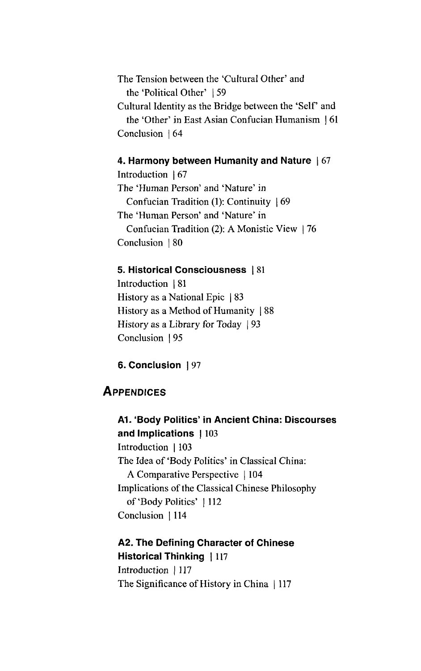The Tension between the 'Cultural Other' and the 'Political Other' | 59 Cultural Identity as the Bridge between the 'Self' and the 'Other' in East Asian Confucian Humanism | 61 Conclusion | 64

#### **4. Harmony between Humanity and Nature | 67**

Introduction | 67 The 'Human Person' and 'Nature' in Confucian Tradition (1): Continuity | 69 The 'Human Person' and 'Nature' in Confucian Tradition (2): A Monistic View | 76 Conclusion | 80

#### **5. Historical Consciousness | 81**

Introduction | 81 History as a National Epic | 83 History as a Method of Humanity | 88 History as a Library for Today | 93 Conclusion | 95

**6. Conclusion | 97**

## **APPENDICES**

**A1. 'Body Polities' in Ancient China: Discourses and Implications | 103** Introduction | 103 The Idea of 'Body Politics' in Classical China: A Comparative Perspective | 104 Implications of the Classical Chinese Philosophy of'Body Politics' | 112 Conclusion | 114

### **A2. The Defining Character of Chinese Historical Thinking | 117**

Introduction | 117 The Significance of History in China | 117